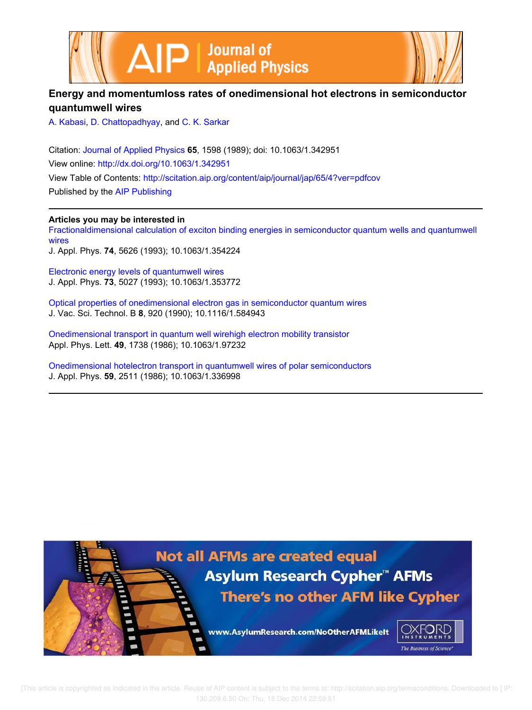



## **Energy and momentumloss rates of onedimensional hot electrons in semiconductor quantumwell wires**

A. Kabasi, D. Chattopadhyay, and C. K. Sarkar

Citation: Journal of Applied Physics **65**, 1598 (1989); doi: 10.1063/1.342951 View online: http://dx.doi.org/10.1063/1.342951 View Table of Contents: http://scitation.aip.org/content/aip/journal/jap/65/4?ver=pdfcov Published by the AIP Publishing

### **Articles you may be interested in**

Fractionaldimensional calculation of exciton binding energies in semiconductor quantum wells and quantumwell wires J. Appl. Phys. **74**, 5626 (1993); 10.1063/1.354224

Electronic energy levels of quantumwell wires J. Appl. Phys. **73**, 5027 (1993); 10.1063/1.353772

Optical properties of onedimensional electron gas in semiconductor quantum wires J. Vac. Sci. Technol. B **8**, 920 (1990); 10.1116/1.584943

Onedimensional transport in quantum well wirehigh electron mobility transistor Appl. Phys. Lett. **49**, 1738 (1986); 10.1063/1.97232

Onedimensional hotelectron transport in quantumwell wires of polar semiconductors J. Appl. Phys. **59**, 2511 (1986); 10.1063/1.336998



[This article is copyrighted as indicated in the article. Reuse of AIP content is subject to the terms at: http://scitation.aip.org/termsconditions. Downloaded to ] IP: 130.209.6.50 On: Thu, 18 Dec 2014 22:59:51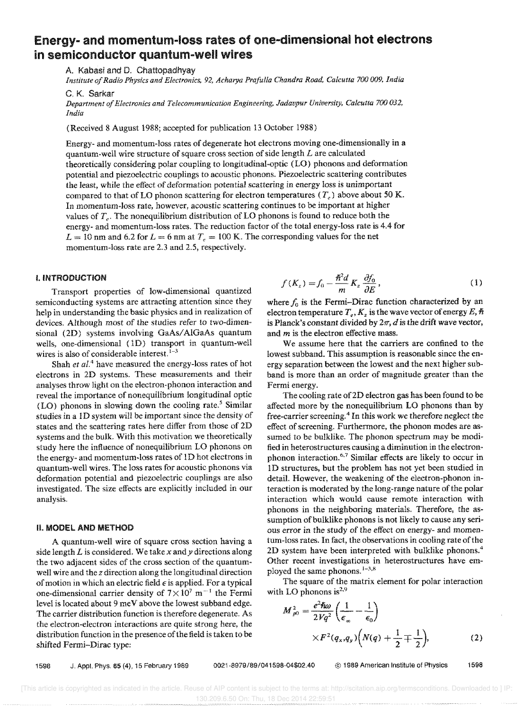# Energy- and momentum-loss rates of one-dimensional hot electrons in semiconductor quantum-well wires

A. Kabasi and D. Chattopadhyay

*Institute of Radio Physics and Electronics,* 92, *Acharya Prafulla Chandra Road, Calcutta 700 009, India* 

C, K. Sarkar

*Department of Electronics and Telecommunication Engineering, Jadavpur University, Calcutta 700 032, India* 

(Received 8 August 1988; accepted for publication 13 October 1988)

Energy- and momentum-loss rates of degenerate hot electrons moving one-dimensionally in a quantum-well wire structure of square cross section of side length *L* are calculated theoretically considering polar coupling to longitudinal-optic (LO) phonons and deformation potential and piezoelectric couplings to acoustic phonons. Piezoelectric scattering contributes the least, while the effect of deformation potential scattering in energy loss is unimportant compared to that of LO phonon scattering for electron temperatures  $(T_c)$  above about 50 K. In momentum-loss rate, however, acoustic scattering continues to be important at higher values of  $T_e$ . The nonequilibrium distribution of LO phonons is found to reduce both the energy- and momentum-loss rates. The reduction factor of the total energy-loss rate is 4.4 for  $L = 10$  nm and 6.2 for  $L = 6$  nm at  $T_e = 100$  K. The corresponding values for the net momentum-loss rate are 2.3 and 2.5, respectively.

#### I. INTRODUCTION

Transport properties of low-dimensional quantized semiconducting systems are attracting attention since they help in understanding the basic physics and in realization of devices. Although most of the studies refer to two-dimensional (2D) systems involving GaAs/AlGaAs quantum wells, one-dimensional (1D) transport in quantum-well wires is also of considerable interest.  $1-3$ 

Shah *et al.*<sup>4</sup> have measured the energy-loss rates of hot electrons in 2D systems. These measurements and their analyses throw light on the electron-phonon interaction and reveal the importance of nonequilibrium longitudinal optic (LO) phonons in slowing down the cooling rate.<sup>5</sup> Similar studies in a ID system will be important since the density of states and the scattering rates here differ from those of 2D systems and the bulk. With this motivation we theoretically study here the influence of nonequilibrium LO phonons on the energy- and momentum-loss rates of ID hot electrons in quantum-well wires. The loss rates for acoustic phonons via deformation potential and piezoelectric couplings are also investigated. The size effects are explicitly included in our analysis.

#### II. MODEL AND METHOD

A quantum-well wire of square cross section having a side length *L* is considered. We take *x* and *y* directions along the two adjacent sides of the cross section of the quantumwell wire and the *z* direction along the longitudinal direction of motion in which an electric field  $\epsilon$  is applied. For a typical one-dimensional carrier density of  $7 \times 10^7$  m<sup>-1</sup> the Fermi level is located about 9 me V above the lowest subband edge. The carrier distribution function is therefore degenerate. As the electron-electron interactions are quite strong here, the distribution function in the presence of the field is taken to be shifted Fermi-Dirac type:

$$
f(K_z) = f_0 - \frac{\hbar^2 d}{m} K_z \frac{\partial f_0}{\partial E},
$$
 (1)

where  $f_0$  is the Fermi-Dirac function characterized by an electron temperature  $T_e$ ,  $K_z$  is the wave vector of energy  $E$ ,  $\hbar$ is Planck's constant divided by  $2\pi$ , *d* is the drift wave vector, and *m* is the electron effective mass.

We assume here that the carriers are confined to the lowest subband. This assumption is reasonable since the energy separation between the lowest and the next higher subband is more than an order of magnitude greater than the Fermi energy.

The cooling rate of 2D electron gas has been found to be affected more by the nonequilibrium LO phonons than by free-carrier screening. <sup>4</sup>In this work we therefore neglect the effect of screening. Furthermore, the phonon modes are assumed to be bulklike. The phonon spectrum may be modified in heterostructures causing a diminution in the electronphonon interaction.<sup>6,7</sup> Similar effects are likely to occur in 1D structures, but the problem has not yet been studied in detail. However, the weakening of the electron-phonon interaction is moderated by the long-range nature of the polar interaction which would cause remote interaction with phonons in the neighboring materials. Therefore, the assumption of bulklike phonons is not likely to cause any serious error in the study of the effect on energy- and momentum-loss rates. In fact, the observations in cooling rate of the 2D system have been interpreted with bulklike phonons.<sup>4</sup> Other recent investigations in heterostructures have employed the same phonons.  $1-3,8$ 

The square of the matrix element for polar interaction with LO phonons is $^{2,9}$ 

$$
M_{\rho 0}^2 = \frac{e^2 \hbar \omega}{2Vq^2} \left( \frac{1}{\epsilon_{\infty}} - \frac{1}{\epsilon_0} \right)
$$
  
 
$$
\times F^2(q_x, q_y) \left( N(q) + \frac{1}{2} \mp \frac{1}{2} \right),
$$
 (2)

1598 J. Appl. Phys. 65 (4), 15 February 1989 *0021 -8979/89/041598-04\$02.40* @ 1989 American Institute of Physics 1598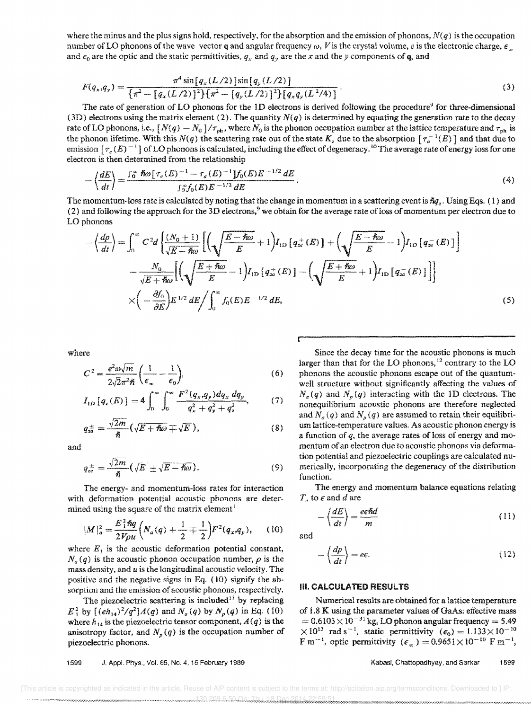where the minus and the plus signs hold, respectively, for the absorption and the emission of phonons,  $N(q)$  is the occupation number of LO phonons of the wave vector q and angular frequency  $\omega$ , V is the crystal volume, *e* is the electronic charge,  $\epsilon_{\infty}$ and  $\epsilon_0$  are the optic and the static permittivities,  $q_x$  and  $q_y$  are the x and the y components of q, and

$$
F(q_x, q_y) = \frac{\pi^4 \sin[q_x (L/2)] \sin[q_y (L/2)]}{\{\pi^2 - [q_x (L/2)]^2\} \{\pi^2 - [q_y (L/2)]^2\} [q_x q_y (L^2/4)]}.
$$
\n(3)

The rate of generation of LO phonons for the 1D electrons is derived following the procedure<sup>9</sup> for three-dimensional (3D) electrons using the matrix element (2). The quantity  $N(q)$  is determined by equating the generation rate to the decay rate of LO phonons, i.e.,  $[N(q) - N_0]/\tau_{ph}$ , where  $N_0$  is the phonon occupation number at the lattice temperature and  $\tau_{ph}$  is the phonon lifetime. With this  $N(q)$  the scattering rate out of the state  $K_z$  due to the absorption  $[\tau_a^{-1}(E)]$  and that due to emission  $\lceil \tau_e(E)^{-1} \rceil$  of LO phonons is calculated, including the effect of degeneracy.<sup>10</sup> The average rate of energy loss for one electron is then determined from the relationship

$$
-\left\langle \frac{dE}{dt} \right\rangle = \frac{\int_0^\infty \tilde{\hbar}\omega \left[ \tau_e(E)^{-1} - \tau_a(E)^{-1} \right] f_0(E) E^{-1/2} dE}{\int_0^\infty f_0(E) E^{-1/2} dE} \,. \tag{4}
$$

The momentum-loss rate is calculated by noting that the change in momentum in a scattering event is  $\hbar q_z$ . Using Eqs. (1) and (2) and following the approach for the 3D electrons,<sup>9</sup> we obtain for the average rate of loss of momentum per electron due to LOphonons

$$
-\left\langle \frac{dp}{dt} \right\rangle = \int_0^\infty C^2 d \left\{ \frac{(N_0 + 1)}{\sqrt{E - \hbar \omega}} \left[ \left( \sqrt{\frac{E - \hbar \omega}{E}} + 1 \right) I_{\text{1D}} \left[ q_{ze}^+(E) \right] + \left( \sqrt{\frac{E - \hbar \omega}{E}} - 1 \right) I_{\text{1D}} \left[ q_{ze}^-(E) \right] \right] \right\}
$$

$$
-\frac{N_0}{\sqrt{E + \hbar \omega}} \left[ \left( \sqrt{\frac{E + \hbar \omega}{E}} - 1 \right) I_{\text{1D}} \left[ q_{ze}^+(E) \right] - \left( \sqrt{\frac{E + \hbar \omega}{E}} + 1 \right) I_{\text{1D}} \left[ q_{ze}^-(E) \right] \right] \right\}
$$

$$
\times \left( -\frac{\partial f_0}{\partial E} \right) E^{1/2} dE / \int_0^\infty f_0(E) E^{-1/2} dE, \tag{5}
$$

(7)

where

$$
C^2 = \frac{e^2 \omega \sqrt{m}}{2\sqrt{2}\pi^2 \hbar} \left(\frac{1}{\epsilon_{\infty}} - \frac{1}{\epsilon_0}\right),\tag{6}
$$

$$
I_{\rm 1D}\left[q_{z}(E)\right]=4\int_{0}^{\infty}\int_{0}^{\infty}\frac{F^{2}(q_{x},q_{y})dq_{x}dq_{y}}{q_{x}^{2}+q_{y}^{2}+q_{z}^{2}},
$$

$$
q_{z\bar{a}}^{\pm} = \frac{\sqrt{2m}}{\hbar} \left( \sqrt{E + \hbar \omega} \mp \sqrt{E} \right), \tag{8}
$$

and

$$
q_{ze}^{\pm} = \frac{\sqrt{2m}}{\hbar} \left( \sqrt{E} \pm \sqrt{E - \hbar \omega} \right). \tag{9}
$$

The energy- and momentum-loss rates for interaction with deformation potential acoustic phonons are determined using the square of the matrix element<sup>1</sup>

$$
|M|_a^2 = \frac{E_1^2 \hbar q}{2V \rho u} \left( N_a(q) + \frac{1}{2} \mp \frac{1}{2} \right) F^2(q_x, q_y), \quad (10)
$$

where  $E_1$  is the acoustic deformation potential constant,  $N_a(q)$  is the acoustic phonon occupation number,  $\rho$  is the mass density, and *u* is the longitudinal acoustic velocity. The positive and the negative signs in Eq. (10) signify the absorption and the emission of acoustic phonons, respectively.

The piezoelectric scattering is included<sup>11</sup> by replacing  $E_1^2$  by  $[(eh_{14})^2/q^2]A(q)$  and  $N_a(q)$  by  $N_p(q)$  in Eq. (10) where  $h_{14}$  is the piezoelectric tensor component,  $A(q)$  is the anisotropy factor, and  $N_p(q)$  is the occupation number of piezoelectric phonons.

1599 J. AppL Phys., Vol. 65, No.4, 15 February 1989

Since the decay time for the acoustic phonons is much larger than that for the LO phonons,<sup>12</sup> contrary to the LO phonons the acoustic phonons escape out of the quantumwell structure without significantly affecting the values of  $N_a(q)$  and  $N_p(q)$  interacting with the 1D electrons. The nonequilibrium acoustic phonons are therefore neglected and  $N_a(q)$  and  $N_p(q)$  are assumed to retain their equilibrium lattice-temperature values. As acoustic phonon energy is a function of *q,* the average rates of loss of energy and mentum of an electron due to acoustic phonons via deformation potential and piezoelectric couplings are calculated numerically, incorporating the degeneracy of the distribution function.

The energy and momentum balance equations relating  $T_e$  to  $\epsilon$  and  $d$  are

$$
-\left\langle \frac{dE}{dt} \right\rangle = \frac{e\epsilon\hbar d}{m} \tag{11}
$$

and

$$
-\left\langle \frac{dp}{dt}\right\rangle = e\epsilon. \tag{12}
$$

#### **III. CALCULATED RESULTS**

Numerical results are obtained for a lattice temperature of 1.8 K using the parameter values of GaAs: effective mass  $= 0.6103 \times 10^{-31}$  kg, LO phonon angular frequency = 5.49  $\times$ 10<sup>13</sup> rad s<sup>-1</sup>, static permittivity ( $\epsilon_0$ ) = 1.133 $\times$ 10<sup>-10</sup> F m<sup>-1</sup>, optic permittivity  $(\epsilon_{\infty}) = 0.9651 \times 10^{-10}$  F m<sup>-1</sup>,

Kabasi, Chattopadhyay, and Sarkar 1599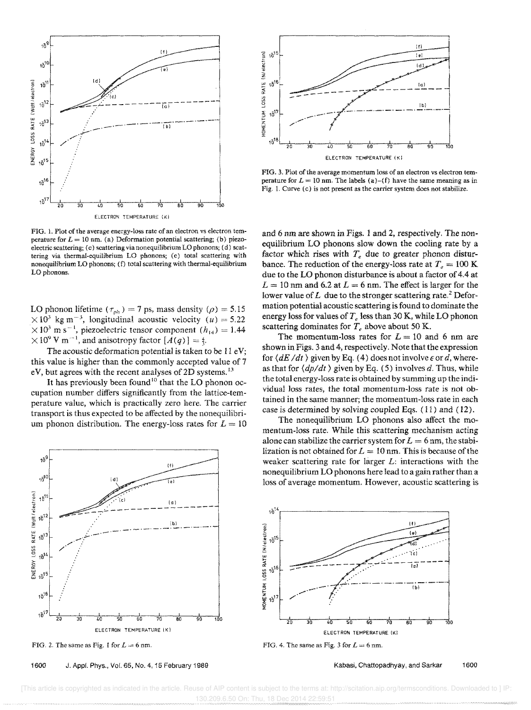

FIG. 1. Plot of the average energy-loss rate of an electron vs electron temperature for  $L = 10$  nm. (a) Deformation potential scattering; (b) piezoelectric scattering; (c) scattering via nonequilibrium LO phonons; (d) scattering via thermal-equilibrium LO phonons; (e) total scattering with nonequilibrium LO phonons; (f) total scattering with thermal-equilibrium LO phonons.

LO phonon lifetime  $(\tau_{ph}) = 7$  ps, mass density  $(\rho) = 5.15$  $\times 10^3$  kg m<sup>-3</sup>, longitudinal acoustic velocity *(u)* = 5.22  $\times 10^3$  m s<sup>-1</sup>, piezoelectric tensor component  $(h_{14}) = 1.44$  $\times 10^9$  V m<sup>-1</sup>, and anisotropy factor  $[A(q)] =$ 

The acoustic deformation potential is taken to be  $11 \text{ eV}$ ; this value is higher than the commonly accepted value of 7 eV, but agrees with the recent analyses of 2D systems.<sup>13</sup>

It has previously been found<sup>10</sup> that the LO phonon occupation number differs significantly from the lattice-temperature value, which is practically zero here. The carrier transport is thus expected to be affected by the noneqailibrium phonon distribution. The energy-loss rates for  $L = 10$ 



FIG. 2. The same as Fig. 1 for  $L = 6$  nm.

1600 J. Appf. Phys., Vol. 65, No.4, 15 February 1989



FIG. 3. Plot of the average momentum loss of an electron vs electron temperature for  $L = 10$  nm. The labels (a)-(f) have the same meaning as in Fig. 1. Curve (c) is not present as the carrier system does not stabilize.

and 6 nm are shown in Figs. 1 and 2, respectively. The nonequilibrium LO phonons slow down the cooling rate by a factor which rises with  $T_e$  due to greater phonon disturbance. The reduction of the energy-loss rate at  $T_e = 100$  K due to the LO phonon disturbance is about a factor of 4.4 at  $L = 10$  nm and 6.2 at  $L = 6$  nm. The effect is larger for the lower value of  $L$  due to the stronger scattering rate.<sup>2</sup> Deformation potentiai acoustic scattering is found to dominate the energy loss for values of *T.* less than 30 K, while LO phonon scattering dominates for  $T_e$  above about 50 K.

The momentum-loss rates for  $L = 10$  and 6 nm are shown in Figs. 3 and 4, respectively. Note that the expression for  $\langle dE/dt \rangle$  given by Eq. (4) does not involve  $\epsilon$  or d, whereas that for  $\langle dp/dt \rangle$  given by Eq. (5) involves *d*. Thus, while the total energy-loss rate is obtained by summing up the individual loss rates, the total momentum-loss rate is not obtained in the same manner; the momentum-loss rate in each case is determined by solving coupled Eqs. (11) and (12).

The nonequilibrium LO phonons also affect the momentum-loss rate. While this scattering mechanism acting alone can stabilize the carrier system for  $L = 6$  nm, the stabilization is not obtained for  $L = 10$  nm. This is because of the weaker scattering rate for larger *L:* interactions with the nonequilibrium LO phonons here lead to a gain rather than a loss of average momentum, However, acoustic scattering is



FIG. 4. The same as Fig. 3 for  $L = 6$  nm.

Kabasi, Chattopadhyay, and Sarkar 1600

 [This article is copyrighted as indicated in the article. Reuse of AIP content is subject to the terms at: http://scitation.aip.org/termsconditions. Downloaded to ] IP: 130.209.6.50 On: Thu, 18 Dec 2014 22:59:51